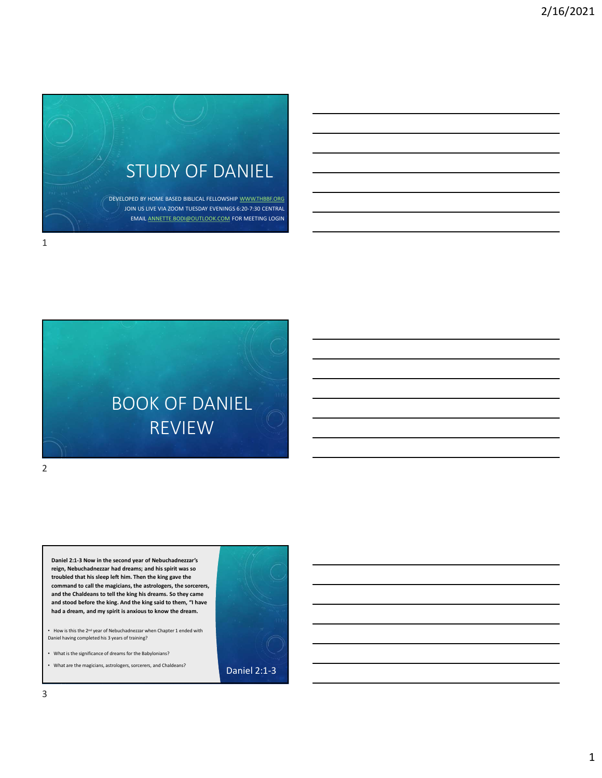



Daniel 2:1-3 Now in the second year of Nebuchadnezzar's reign, Nebuchadnezzar had dreams; and his spirit was so command to call the magicians, the astrologers, the sorcerers,<br>and the Chaldeans to tell the king his dreams. So they came and stood before the king. And the king said to them, "I have had a dream, and my spirit is anxious to know the dream.

2 and 2 and 2 and 2 and 2 and 2 and 2 and 2 and 2 and 2 and 2 and 2 and 2 and 2 and 2 and 2 and 2 and 2 and 2

• How is this the 2nd year of Nebuchadnezzar when Chapter 1 ended with Daniel having completed his 3 years of training?

• What is the significance of dreams for the Babylonians?

• What are the magicians, astrologers, sorcerers, and Chaldeans? **Daniel 2:1-3** 

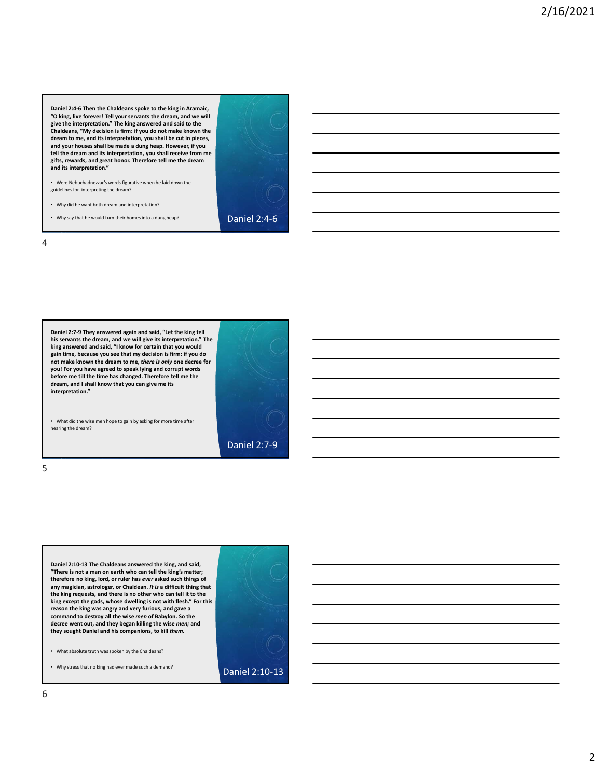Daniel 2:4-6 Then the Chaldeans spoke to the king in Aramaic, "O king, live forever! Tell your servants the dream, and we will give the interpretation." The king answered and said to the Chaldeans, "My decision is firm: if you do not make known the dream to me, and its interpretation, you shall be cut in pieces, and your houses shall be made a dung heap. However, if you tell the dream and its interpretation, you shall receive from me gifts, rewards, and great honor. Therefore tell me the dream Domini 2.4-6 Then the Chaldeans spoke to the king in Aramsic,<br>given by the term that Chaldeans spoke to the king in Aramsic,<br>given between the form of the dream and great honor. The dream and great honor. The<br>chaldeans, "M and its interpretation."

• Were Nebuchadnezzar's words figurative when he laid down the guidelines for interpreting the dream?

• Why did he want both dream and interpretation?

• Why say that he would turn their homes into a dung heap? **Daniel 2:4-6** 



4



• What did the wise men hope to gain by asking for more time after hearing the dream?

 $5<sub>5</sub>$ 



Daniel 2:10-13 The Chaldeans answered the king, and said, "There is not a man on earth who can tell the king's matter;<br>therefore no king, lord, or ruler has ever asked such things of any magician, astrologer, or Chaldean. It is a difficult thing that the king requests, and there is no other who can tell it to the king except the gods, whose dwelling is not with flesh." For this reason the king was angry and very furious, and gave a reason that be a more than the same of the bigger of the same of the same of the same of the same of the same of the same of the same of the same of the same of the same of the same of the same of the same of the same of community to the wise allows all the wise men of Babylon. The wise men of Babylon. The community of Babylon. The community of Babylon. The community of Babylon. The community of Babylon. The community of Babylon. So the wi decree went out, and they began killing the wise men; and they sought Daniel and his companions, to kill them.

• What absolute truth was spoken by the Chaldeans?

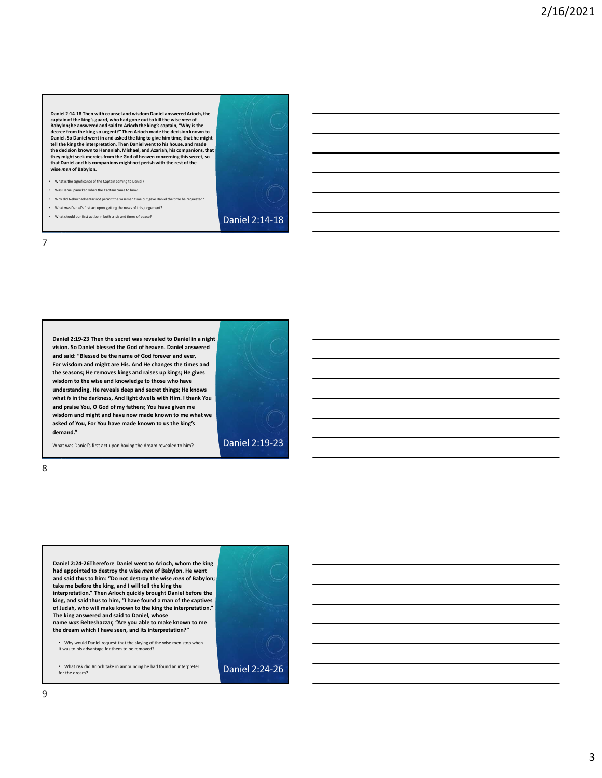Daniel 2:14-18 Then with counsel and wisdom Daniel answered Arioch, the<br>Babylon; he answered and said to Arioch the king with the wise men of<br>Babylon; he answered and said to Arioch the king's captain, "Why is the<br>decree f Daniel 2:14-15 Then with counsel and wideon Daniel answered Ariod<sub>y</sub>, the<br>captain of the sings' grant, who hough gone out to kill the wise *men* of<br>the first properties from the king to give him time, that the might<br>be th Daniel 2:14-18 Then with counsel and wideon Daniel anwwered Arioch, the<br>explain of the king's guard, who had gone out to kill the wise men of<br>decree from the king's capacity. Then Arioch made the decision house<br>decree fro the decision known to Hananiah, Mishael, and Azariah, his companions, that they might seek mercies from the God of heaven concerning this secret, so **that Daniel and his companions might not perish with the rest of the wise men of Babylon.**<br>Wise *men* of Babylon.<br>Wise *men* of Babylon.

- What is the significance of the Captain coming to Daniel?
- Was Daniel panicked when the Captain came to him?
- Why did Nebuchadnezzar not permit the wisemen time but gave Daniel the time he requested?
- What was Daniel's first act upon getting the news of this judgement?
- What should our first act be in both crisis and times of peace? **Daniel 2:14-18**





7



What was Daniel's first act upon having the dream revealed to him? **Daniel 2:19-23** 

8 and 2010 and 2010 and 2010 and 2010 and 2010 and 2010 and 2010 and 2010 and 2010 and 2010 and 2010 and 2010

Daniel 2:24-26Therefore Daniel went to Arioch, whom the king had appointed to destroy the wise men of Babylon. He went and said thus to him: "Do not destroy the wise men of Babylon; take me before the king, and I will tell the king the interpretation." Then Arioch quickly brought Daniel before the king, and said thus to him, "I have found a man of the captives of Judah, who will make known to the king the interpretation."<br>The king answered and said to Daniel, whose name was Belteshazzar, "Are you able to make known to me the dream which I have seen, and its interpretation?"

• Why would Daniel request that the slaying of the wise men stop when it was to his advantage for them to be removed?

• What risk did Arioch take in announcing he had found an interpreter **Daniel 2:24-26** for the dream?